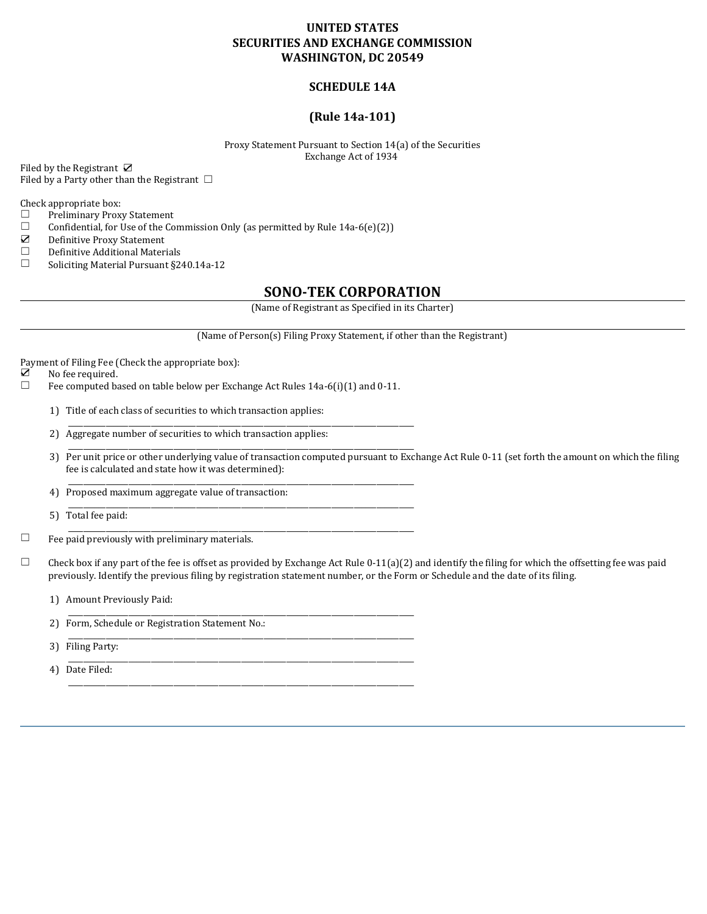# **UNITED STATES SECURITIES AND EXCHANGE COMMISSION WASHINGTON, DC 20549**

# **SCHEDULE 14A**

# **(Rule 14a-101)**

Proxy Statement Pursuant to Section 14(a) of the Securities Exchange Act of 1934

Filed by the Registrant Ø Filed by a Party other than the Registrant  $\Box$ 

Check appropriate box:<br>  $\Box$  Preliminary Prox

- Preliminary Proxy Statement
- $\Box$  Confidential, for Use of the Commission Only (as permitted by Rule 14a-6(e)(2))
- ☑ Definitive Proxy Statement
- ☐ Definitive Additional Materials
- ☐ Soliciting Material Pursuant §240.14a-12

# **SONO-TEK CORPORATION**

(Name of Registrant as Specified in its Charter)

(Name of Person(s) Filing Proxy Statement, if other than the Registrant)

\_\_\_\_\_\_\_\_\_\_\_\_\_\_\_\_\_\_\_\_\_\_\_\_\_\_\_\_\_\_\_\_\_\_\_\_\_\_\_\_\_\_\_\_\_\_\_\_\_\_\_\_\_\_\_\_\_\_\_\_\_\_\_\_\_\_\_\_\_\_\_\_\_\_\_\_\_\_\_\_\_\_\_\_\_\_\_\_\_\_\_\_

\_\_\_\_\_\_\_\_\_\_\_\_\_\_\_\_\_\_\_\_\_\_\_\_\_\_\_\_\_\_\_\_\_\_\_\_\_\_\_\_\_\_\_\_\_\_\_\_\_\_\_\_\_\_\_\_\_\_\_\_\_\_\_\_\_\_\_\_\_\_\_\_\_\_\_\_\_\_\_\_\_\_\_\_\_\_\_\_\_\_\_\_

\_\_\_\_\_\_\_\_\_\_\_\_\_\_\_\_\_\_\_\_\_\_\_\_\_\_\_\_\_\_\_\_\_\_\_\_\_\_\_\_\_\_\_\_\_\_\_\_\_\_\_\_\_\_\_\_\_\_\_\_\_\_\_\_\_\_\_\_\_\_\_\_\_\_\_\_\_\_\_\_\_\_\_\_\_\_\_\_\_\_\_\_

\_\_\_\_\_\_\_\_\_\_\_\_\_\_\_\_\_\_\_\_\_\_\_\_\_\_\_\_\_\_\_\_\_\_\_\_\_\_\_\_\_\_\_\_\_\_\_\_\_\_\_\_\_\_\_\_\_\_\_\_\_\_\_\_\_\_\_\_\_\_\_\_\_\_\_\_\_\_\_\_\_\_\_\_\_\_\_\_\_\_\_\_

\_\_\_\_\_\_\_\_\_\_\_\_\_\_\_\_\_\_\_\_\_\_\_\_\_\_\_\_\_\_\_\_\_\_\_\_\_\_\_\_\_\_\_\_\_\_\_\_\_\_\_\_\_\_\_\_\_\_\_\_\_\_\_\_\_\_\_\_\_\_\_\_\_\_\_\_\_\_\_\_\_\_\_\_\_\_\_\_\_\_\_\_

\_\_\_\_\_\_\_\_\_\_\_\_\_\_\_\_\_\_\_\_\_\_\_\_\_\_\_\_\_\_\_\_\_\_\_\_\_\_\_\_\_\_\_\_\_\_\_\_\_\_\_\_\_\_\_\_\_\_\_\_\_\_\_\_\_\_\_\_\_\_\_\_\_\_\_\_\_\_\_\_\_\_\_\_\_\_\_\_\_\_\_\_

\_\_\_\_\_\_\_\_\_\_\_\_\_\_\_\_\_\_\_\_\_\_\_\_\_\_\_\_\_\_\_\_\_\_\_\_\_\_\_\_\_\_\_\_\_\_\_\_\_\_\_\_\_\_\_\_\_\_\_\_\_\_\_\_\_\_\_\_\_\_\_\_\_\_\_\_\_\_\_\_\_\_\_\_\_\_\_\_\_\_\_\_

\_\_\_\_\_\_\_\_\_\_\_\_\_\_\_\_\_\_\_\_\_\_\_\_\_\_\_\_\_\_\_\_\_\_\_\_\_\_\_\_\_\_\_\_\_\_\_\_\_\_\_\_\_\_\_\_\_\_\_\_\_\_\_\_\_\_\_\_\_\_\_\_\_\_\_\_\_\_\_\_\_\_\_\_\_\_\_\_\_\_\_\_

Payment of Filing Fee (Check the appropriate box):<br> $\boxtimes$  No fee required.

- $\nabla$  No fee required.<br>
Fee computed ba
- Fee computed based on table below per Exchange Act Rules 14a-6(i)(1) and 0-11.

\_\_\_\_\_\_\_\_\_\_\_\_\_\_\_\_\_\_\_\_\_\_\_\_\_\_\_\_\_\_\_\_\_\_\_\_\_\_\_\_\_\_\_\_\_\_\_\_\_\_\_\_\_\_\_\_\_\_\_\_\_\_\_\_\_\_\_\_\_\_\_\_\_\_\_\_\_\_\_\_\_\_\_\_\_\_\_\_\_\_\_\_

- 1) Title of each class of securities to which transaction applies:
- 2) Aggregate number of securities to which transaction applies:
- 3) Per unit price or other underlying value of transaction computed pursuant to Exchange Act Rule 0-11 (set forth the amount on which the filing fee is calculated and state how it was determined):
- 4) Proposed maximum aggregate value of transaction:
- 5) Total fee paid:
- $\Box$  Fee paid previously with preliminary materials.

 $\Box$  Check box if any part of the fee is offset as provided by Exchange Act Rule 0-11(a)(2) and identify the filing for which the offsetting fee was paid previously. Identify the previous filing by registration statement number, or the Form or Schedule and the date of its filing.

- 1) Amount Previously Paid:
- 2) Form, Schedule or Registration Statement No.:
- 3) Filing Party:
- 4) Date Filed: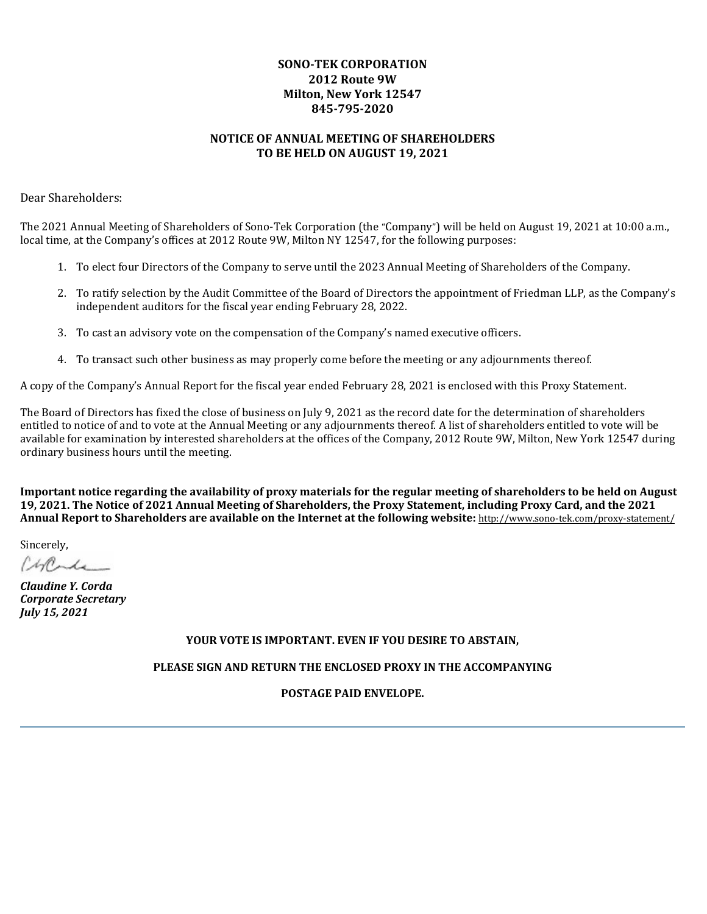# **SONO-TEK CORPORATION 2012 Route 9W Milton, New York 12547 845-795-2020**

# **NOTICE OF ANNUAL MEETING OF SHAREHOLDERS TO BE HELD ON AUGUST 19, 2021**

Dear Shareholders:

The 2021 Annual Meeting of Shareholders of Sono-Tek Corporation (the "Company") will be held on August 19, 2021 at 10:00 a.m., local time, at the Company's offices at 2012 Route 9W, Milton NY 12547, for the following purposes:

- 1. To elect four Directors of the Company to serve until the 2023 Annual Meeting of Shareholders of the Company.
- 2. To ratify selection by the Audit Committee of the Board of Directors the appointment of Friedman LLP, as the Company's independent auditors for the fiscal year ending February 28, 2022.
- 3. To cast an advisory vote on the compensation of the Company's named executive officers.
- 4. To transact such other business as may properly come before the meeting or any adjournments thereof.

A copy of the Company's Annual Report for the fiscal year ended February 28, 2021 is enclosed with this Proxy Statement.

The Board of Directors has fixed the close of business on July 9, 2021 as the record date for the determination of shareholders entitled to notice of and to vote at the Annual Meeting or any adjournments thereof. A list of shareholders entitled to vote will be available for examination by interested shareholders at the offices of the Company, 2012 Route 9W, Milton, New York 12547 during ordinary business hours until the meeting.

**Important notice regarding the availability of proxy materials for the regular meeting of shareholders to be held on August 19, 2021. The Notice of 2021 Annual Meeting of Shareholders, the Proxy Statement, including Proxy Card, and the 2021 Annual Report to Shareholders are available on the Internet at the following website:** http://www.sono-tek.com/proxy-statement/

Sincerely,

Chrade

*Claudine Y. Corda Corporate Secretary July 15, 2021*

# **YOUR VOTE IS IMPORTANT. EVEN IF YOU DESIRE TO ABSTAIN,**

**PLEASE SIGN AND RETURN THE ENCLOSED PROXY IN THE ACCOMPANYING**

**POSTAGE PAID ENVELOPE.**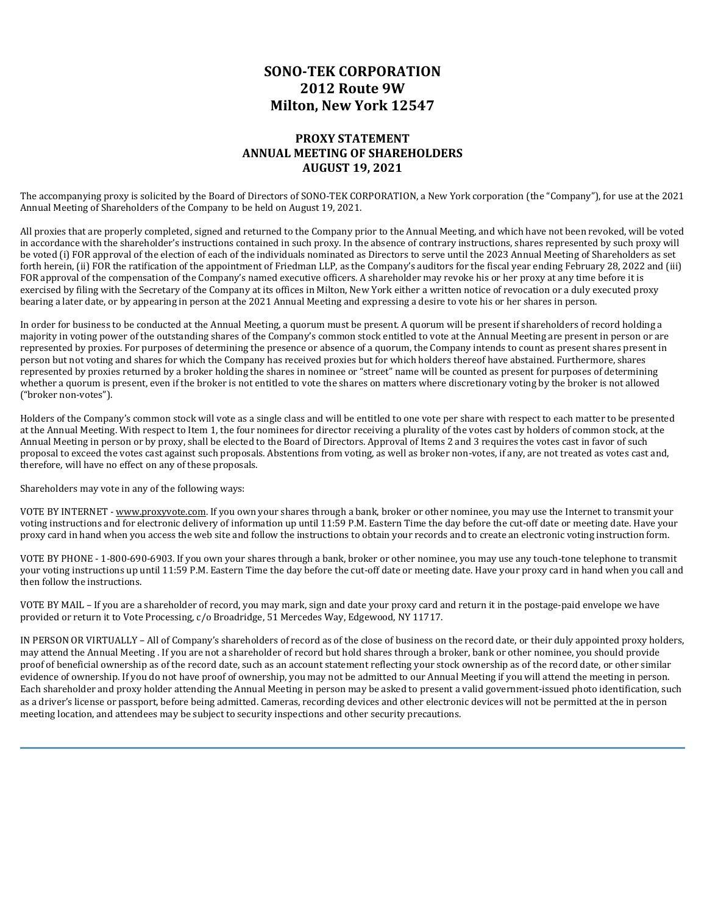# **SONO-TEK CORPORATION 2012 Route 9W Milton, New York 12547**

# **PROXY STATEMENT ANNUAL MEETING OF SHAREHOLDERS AUGUST 19, 2021**

The accompanying proxy is solicited by the Board of Directors of SONO-TEK CORPORATION, a New York corporation (the "Company"), for use at the 2021 Annual Meeting of Shareholders of the Company to be held on August 19, 2021.

All proxies that are properly completed, signed and returned to the Company prior to the Annual Meeting, and which have not been revoked, will be voted in accordance with the shareholder's instructions contained in such proxy. In the absence of contrary instructions, shares represented by such proxy will be voted (i) FOR approval of the election of each of the individuals nominated as Directors to serve until the 2023 Annual Meeting of Shareholders as set forth herein, (ii) FOR the ratification of the appointment of Friedman LLP, as the Company's auditors for the fiscal year ending February 28, 2022 and (iii) FOR approval of the compensation of the Company's named executive officers. A shareholder may revoke his or her proxy at any time before it is exercised by filing with the Secretary of the Company at its offices in Milton, New York either a written notice of revocation or a duly executed proxy bearing a later date, or by appearing in person at the 2021 Annual Meeting and expressing a desire to vote his or her shares in person.

In order for business to be conducted at the Annual Meeting, a quorum must be present. A quorum will be present if shareholders of record holding a majority in voting power of the outstanding shares of the Company's common stock entitled to vote at the Annual Meeting are present in person or are represented by proxies. For purposes of determining the presence or absence of a quorum, the Company intends to count as present shares present in person but not voting and shares for which the Company has received proxies but for which holders thereof have abstained. Furthermore, shares represented by proxies returned by a broker holding the shares in nominee or "street" name will be counted as present for purposes of determining whether a quorum is present, even if the broker is not entitled to vote the shares on matters where discretionary voting by the broker is not allowed ("broker non-votes").

Holders of the Company's common stock will vote as a single class and will be entitled to one vote per share with respect to each matter to be presented at the Annual Meeting. With respect to Item 1, the four nominees for director receiving a plurality of the votes cast by holders of common stock, at the Annual Meeting in person or by proxy, shall be elected to the Board of Directors. Approval of Items 2 and 3 requires the votes cast in favor of such proposal to exceed the votes cast against such proposals. Abstentions from voting, as well as broker non-votes, if any, are not treated as votes cast and, therefore, will have no effect on any of these proposals.

Shareholders may vote in any of the following ways:

VOTE BY INTERNET - www.proxyvote.com. If you own your shares through a bank, broker or other nominee, you may use the Internet to transmit your voting instructions and for electronic delivery of information up until 11:59 P.M. Eastern Time the day before the cut-off date or meeting date. Have your proxy card in hand when you access the web site and follow the instructions to obtain your records and to create an electronic voting instruction form.

VOTE BY PHONE - 1-800-690-6903. If you own your shares through a bank, broker or other nominee, you may use any touch-tone telephone to transmit your voting instructions up until 11:59 P.M. Eastern Time the day before the cut-off date or meeting date. Have your proxy card in hand when you call and then follow the instructions.

VOTE BY MAIL – If you are a shareholder of record, you may mark, sign and date your proxy card and return it in the postage-paid envelope we have provided or return it to Vote Processing, c/o Broadridge, 51 Mercedes Way, Edgewood, NY 11717.

IN PERSON OR VIRTUALLY – All of Company's shareholders of record as of the close of business on the record date, or their duly appointed proxy holders, may attend the Annual Meeting . If you are not a shareholder of record but hold shares through a broker, bank or other nominee, you should provide proof of beneficial ownership as of the record date, such as an account statement reflecting your stock ownership as of the record date, or other similar evidence of ownership. If you do not have proof of ownership, you may not be admitted to our Annual Meeting if you will attend the meeting in person. Each shareholder and proxy holder attending the Annual Meeting in person may be asked to present a valid government-issued photo identification, such as a driver's license or passport, before being admitted. Cameras, recording devices and other electronic devices will not be permitted at the in person meeting location, and attendees may be subject to security inspections and other security precautions.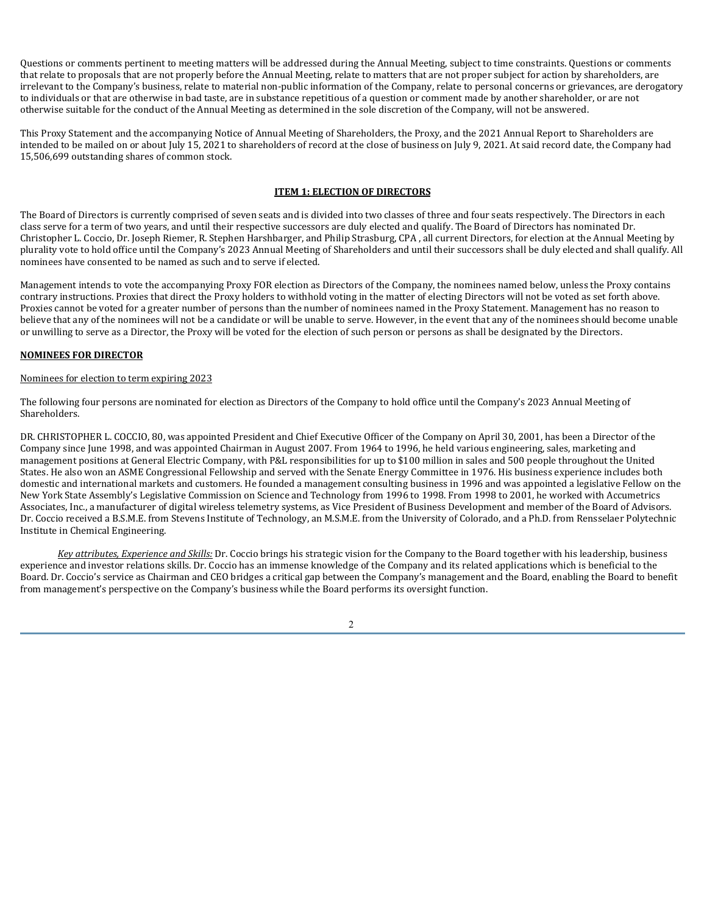Questions or comments pertinent to meeting matters will be addressed during the Annual Meeting, subject to time constraints. Questions or comments that relate to proposals that are not properly before the Annual Meeting, relate to matters that are not proper subject for action by shareholders, are irrelevant to the Company's business, relate to material non-public information of the Company, relate to personal concerns or grievances, are derogatory to individuals or that are otherwise in bad taste, are in substance repetitious of a question or comment made by another shareholder, or are not otherwise suitable for the conduct of the Annual Meeting as determined in the sole discretion of the Company, will not be answered.

This Proxy Statement and the accompanying Notice of Annual Meeting of Shareholders, the Proxy, and the 2021 Annual Report to Shareholders are intended to be mailed on or about July 15, 2021 to shareholders of record at the close of business on July 9, 2021. At said record date, the Company had 15,506,699 outstanding shares of common stock.

# **ITEM 1: ELECTION OF DIRECTORS**

The Board of Directors is currently comprised of seven seats and is divided into two classes of three and four seats respectively. The Directors in each class serve for a term of two years, and until their respective successors are duly elected and qualify. The Board of Directors has nominated Dr. Christopher L. Coccio, Dr. Joseph Riemer, R. Stephen Harshbarger, and Philip Strasburg, CPA , all current Directors, for election at the Annual Meeting by plurality vote to hold office until the Company's 2023 Annual Meeting of Shareholders and until their successors shall be duly elected and shall qualify. All nominees have consented to be named as such and to serve if elected.

Management intends to vote the accompanying Proxy FOR election as Directors of the Company, the nominees named below, unless the Proxy contains contrary instructions. Proxies that direct the Proxy holders to withhold voting in the matter of electing Directors will not be voted as set forth above. Proxies cannot be voted for a greater number of persons than the number of nominees named in the Proxy Statement. Management has no reason to believe that any of the nominees will not be a candidate or will be unable to serve. However, in the event that any of the nominees should become unable or unwilling to serve as a Director, the Proxy will be voted for the election of such person or persons as shall be designated by the Directors.

# **NOMINEES FOR DIRECTOR**

### Nominees for election to term expiring 2023

The following four persons are nominated for election as Directors of the Company to hold office until the Company's 2023 Annual Meeting of Shareholders.

DR. CHRISTOPHER L. COCCIO, 80, was appointed President and Chief Executive Officer of the Company on April 30, 2001, has been a Director of the Company since June 1998, and was appointed Chairman in August 2007. From 1964 to 1996, he held various engineering, sales, marketing and management positions at General Electric Company, with P&L responsibilities for up to \$100 million in sales and 500 people throughout the United States. He also won an ASME Congressional Fellowship and served with the Senate Energy Committee in 1976. His business experience includes both domestic and international markets and customers. He founded a management consulting business in 1996 and was appointed a legislative Fellow on the New York State Assembly's Legislative Commission on Science and Technology from 1996 to 1998. From 1998 to 2001, he worked with Accumetrics Associates, Inc., a manufacturer of digital wireless telemetry systems, as Vice President of Business Development and member of the Board of Advisors. Dr. Coccio received a B.S.M.E. from Stevens Institute of Technology, an M.S.M.E. from the University of Colorado, and a Ph.D. from Rensselaer Polytechnic Institute in Chemical Engineering.

*Key attributes, Experience and Skills:* Dr. Coccio brings his strategic vision for the Company to the Board together with his leadership, business experience and investor relations skills. Dr. Coccio has an immense knowledge of the Company and its related applications which is beneficial to the Board. Dr. Coccio's service as Chairman and CEO bridges a critical gap between the Company's management and the Board, enabling the Board to benefit from management's perspective on the Company's business while the Board performs its oversight function.

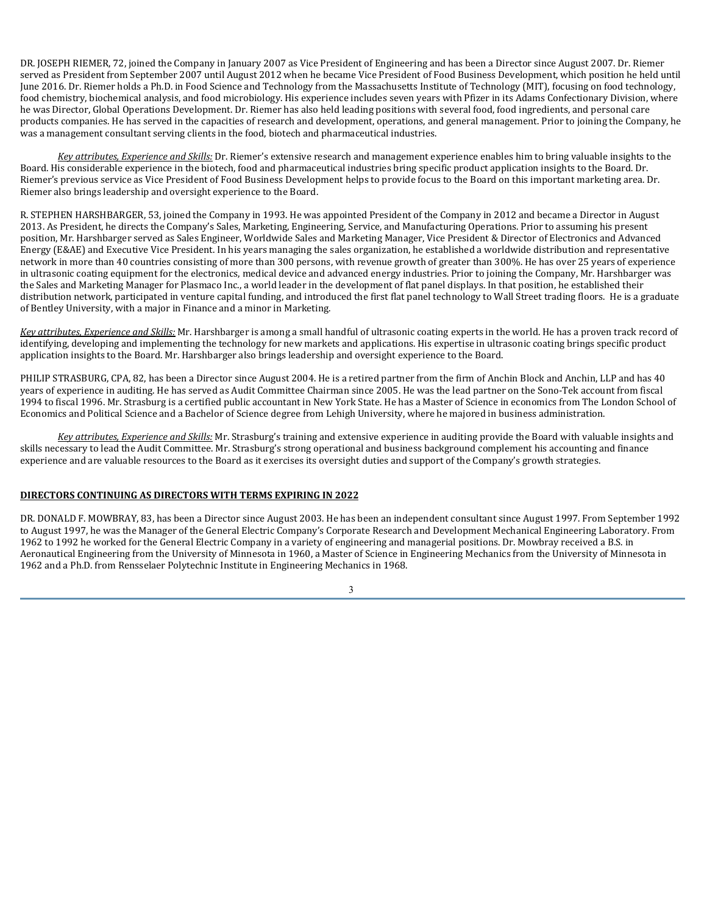DR. JOSEPH RIEMER, 72, joined the Company in January 2007 as Vice President of Engineering and has been a Director since August 2007. Dr. Riemer served as President from September 2007 until August 2012 when he became Vice President of Food Business Development, which position he held until June 2016. Dr. Riemer holds a Ph.D. in Food Science and Technology from the Massachusetts Institute of Technology (MIT), focusing on food technology, food chemistry, biochemical analysis, and food microbiology. His experience includes seven years with Pfizer in its Adams Confectionary Division, where he was Director, Global Operations Development. Dr. Riemer has also held leading positions with several food, food ingredients, and personal care products companies. He has served in the capacities of research and development, operations, and general management. Prior to joining the Company, he was a management consultant serving clients in the food, biotech and pharmaceutical industries.

*Key attributes, Experience and Skills:* Dr. Riemer's extensive research and management experience enables him to bring valuable insights to the Board. His considerable experience in the biotech, food and pharmaceutical industries bring specific product application insights to the Board. Dr. Riemer's previous service as Vice President of Food Business Development helps to provide focus to the Board on this important marketing area. Dr. Riemer also brings leadership and oversight experience to the Board.

R. STEPHEN HARSHBARGER, 53, joined the Company in 1993. He was appointed President of the Company in 2012 and became a Director in August 2013. As President, he directs the Company's Sales, Marketing, Engineering, Service, and Manufacturing Operations. Prior to assuming his present position, Mr. Harshbarger served as Sales Engineer, Worldwide Sales and Marketing Manager, Vice President & Director of Electronics and Advanced Energy (E&AE) and Executive Vice President. In his years managing the sales organization, he established a worldwide distribution and representative network in more than 40 countries consisting of more than 300 persons, with revenue growth of greater than 300%. He has over 25 years of experience in ultrasonic coating equipment for the electronics, medical device and advanced energy industries. Prior to joining the Company, Mr. Harshbarger was the Sales and Marketing Manager for Plasmaco Inc., a world leader in the development of flat panel displays. In that position, he established their distribution network, participated in venture capital funding, and introduced the first flat panel technology to Wall Street trading floors. He is a graduate of Bentley University, with a major in Finance and a minor in Marketing.

*Key attributes, Experience and Skills:* Mr. Harshbarger is among a small handful of ultrasonic coating experts in the world. He has a proven track record of identifying, developing and implementing the technology for new markets and applications. His expertise in ultrasonic coating brings specific product application insights to the Board. Mr. Harshbarger also brings leadership and oversight experience to the Board.

PHILIP STRASBURG, CPA, 82, has been a Director since August 2004. He is a retired partner from the firm of Anchin Block and Anchin, LLP and has 40 years of experience in auditing. He has served as Audit Committee Chairman since 2005. He was the lead partner on the Sono-Tek account from fiscal 1994 to fiscal 1996. Mr. Strasburg is a certified public accountant in New York State. He has a Master of Science in economics from The London School of Economics and Political Science and a Bachelor of Science degree from Lehigh University, where he majored in business administration.

*Key attributes, Experience and Skills:* Mr. Strasburg's training and extensive experience in auditing provide the Board with valuable insights and skills necessary to lead the Audit Committee. Mr. Strasburg's strong operational and business background complement his accounting and finance experience and are valuable resources to the Board as it exercises its oversight duties and support of the Company's growth strategies.

# **DIRECTORS CONTINUING AS DIRECTORS WITH TERMS EXPIRING IN 2022**

DR. DONALD F. MOWBRAY, 83, has been a Director since August 2003. He has been an independent consultant since August 1997. From September 1992 to August 1997, he was the Manager of the General Electric Company's Corporate Research and Development Mechanical Engineering Laboratory. From 1962 to 1992 he worked for the General Electric Company in a variety of engineering and managerial positions. Dr. Mowbray received a B.S. in Aeronautical Engineering from the University of Minnesota in 1960, a Master of Science in Engineering Mechanics from the University of Minnesota in 1962 and a Ph.D. from Rensselaer Polytechnic Institute in Engineering Mechanics in 1968.

3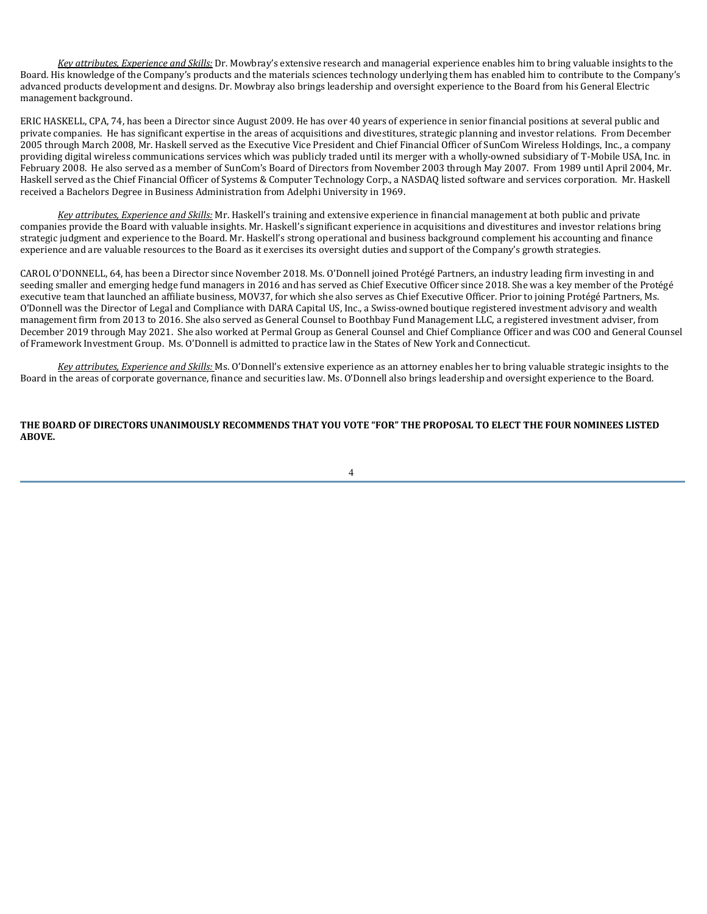*Key attributes, Experience and Skills:* Dr. Mowbray's extensive research and managerial experience enables him to bring valuable insights to the Board. His knowledge of the Company's products and the materials sciences technology underlying them has enabled him to contribute to the Company's advanced products development and designs. Dr. Mowbray also brings leadership and oversight experience to the Board from his General Electric management background.

ERIC HASKELL, CPA, 74, has been a Director since August 2009. He has over 40 years of experience in senior financial positions at several public and private companies. He has significant expertise in the areas of acquisitions and divestitures, strategic planning and investor relations. From December 2005 through March 2008, Mr. Haskell served as the Executive Vice President and Chief Financial Officer of SunCom Wireless Holdings, Inc., a company providing digital wireless communications services which was publicly traded until its merger with a wholly-owned subsidiary of T-Mobile USA, Inc. in February 2008. He also served as a member of SunCom's Board of Directors from November 2003 through May 2007. From 1989 until April 2004, Mr. Haskell served as the Chief Financial Officer of Systems & Computer Technology Corp., a NASDAQ listed software and services corporation. Mr. Haskell received a Bachelors Degree in Business Administration from Adelphi University in 1969.

*Key attributes, Experience and Skills:* Mr. Haskell's training and extensive experience in financial management at both public and private companies provide the Board with valuable insights. Mr. Haskell's significant experience in acquisitions and divestitures and investor relations bring strategic judgment and experience to the Board. Mr. Haskell's strong operational and business background complement his accounting and finance experience and are valuable resources to the Board as it exercises its oversight duties and support of the Company's growth strategies.

CAROL O'DONNELL, 64, has been a Director since November 2018. Ms. O'Donnell joined Protégé Partners, an industry leading firm investing in and seeding smaller and emerging hedge fund managers in 2016 and has served as Chief Executive Officer since 2018. She was a key member of the Protégé executive team that launched an affiliate business, MOV37, for which she also serves as Chief Executive Officer. Prior to joining Protégé Partners, Ms. O'Donnell was the Director of Legal and Compliance with DARA Capital US, Inc., a Swiss-owned boutique registered investment advisory and wealth management firm from 2013 to 2016. She also served as General Counsel to Boothbay Fund Management LLC, a registered investment adviser, from December 2019 through May 2021. She also worked at Permal Group as General Counsel and Chief Compliance Officer and was COO and General Counsel of Framework Investment Group. Ms. O'Donnell is admitted to practice law in the States of New York and Connecticut.

*Key attributes, Experience and Skills:* Ms. O'Donnell's extensive experience as an attorney enables her to bring valuable strategic insights to the Board in the areas of corporate governance, finance and securities law. Ms. O'Donnell also brings leadership and oversight experience to the Board.

**THE BOARD OF DIRECTORS UNANIMOUSLY RECOMMENDS THAT YOU VOTE "FOR" THE PROPOSAL TO ELECT THE FOUR NOMINEES LISTED ABOVE.**

4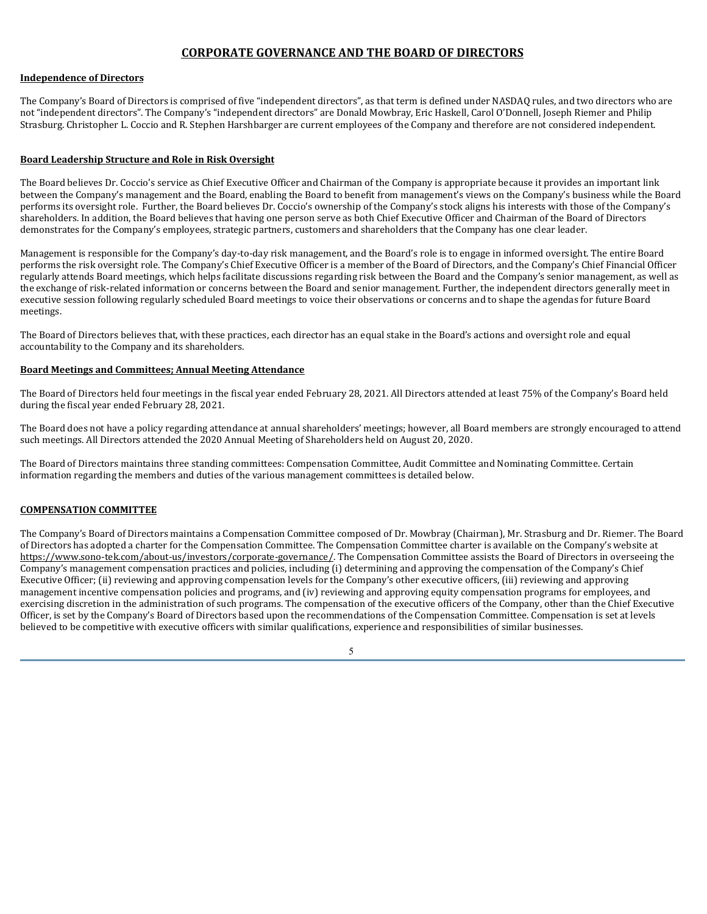# **CORPORATE GOVERNANCE AND THE BOARD OF DIRECTORS**

# **Independence of Directors**

The Company's Board of Directors is comprised of five "independent directors", as that term is defined under NASDAQ rules, and two directors who are not "independent directors". The Company's "independent directors" are Donald Mowbray, Eric Haskell, Carol O'Donnell, Joseph Riemer and Philip Strasburg. Christopher L. Coccio and R. Stephen Harshbarger are current employees of the Company and therefore are not considered independent.

# **Board Leadership Structure and Role in Risk Oversight**

The Board believes Dr. Coccio's service as Chief Executive Officer and Chairman of the Company is appropriate because it provides an important link between the Company's management and the Board, enabling the Board to benefit from management's views on the Company's business while the Board performs its oversight role. Further, the Board believes Dr. Coccio's ownership of the Company's stock aligns his interests with those of the Company's shareholders. In addition, the Board believes that having one person serve as both Chief Executive Officer and Chairman of the Board of Directors demonstrates for the Company's employees, strategic partners, customers and shareholders that the Company has one clear leader.

Management is responsible for the Company's day-to-day risk management, and the Board's role is to engage in informed oversight. The entire Board performs the risk oversight role. The Company's Chief Executive Officer is a member of the Board of Directors, and the Company's Chief Financial Officer regularly attends Board meetings, which helps facilitate discussions regarding risk between the Board and the Company's senior management, as well as the exchange of risk-related information or concerns between the Board and senior management. Further, the independent directors generally meet in executive session following regularly scheduled Board meetings to voice their observations or concerns and to shape the agendas for future Board meetings.

The Board of Directors believes that, with these practices, each director has an equal stake in the Board's actions and oversight role and equal accountability to the Company and its shareholders.

# **Board Meetings and Committees; Annual Meeting Attendance**

The Board of Directors held four meetings in the fiscal year ended February 28, 2021. All Directors attended at least 75% of the Company's Board held during the fiscal year ended February 28, 2021.

The Board does not have a policy regarding attendance at annual shareholders' meetings; however, all Board members are strongly encouraged to attend such meetings. All Directors attended the 2020 Annual Meeting of Shareholders held on August 20, 2020.

The Board of Directors maintains three standing committees: Compensation Committee, Audit Committee and Nominating Committee. Certain information regarding the members and duties of the various management committees is detailed below.

### **COMPENSATION COMMITTEE**

The Company's Board of Directors maintains a Compensation Committee composed of Dr. Mowbray (Chairman), Mr. Strasburg and Dr. Riemer. The Board of Directors has adopted a charter for the Compensation Committee. The Compensation Committee charter is available on the Company's website at https://www.sono-tek.com/about-us/investors/corporate-governance/. The Compensation Committee assists the Board of Directors in overseeing the Company's management compensation practices and policies, including (i) determining and approving the compensation of the Company's Chief Executive Officer; (ii) reviewing and approving compensation levels for the Company's other executive officers, (iii) reviewing and approving management incentive compensation policies and programs, and (iv) reviewing and approving equity compensation programs for employees, and exercising discretion in the administration of such programs. The compensation of the executive officers of the Company, other than the Chief Executive Officer, is set by the Company's Board of Directors based upon the recommendations of the Compensation Committee. Compensation is set at levels believed to be competitive with executive officers with similar qualifications, experience and responsibilities of similar businesses.

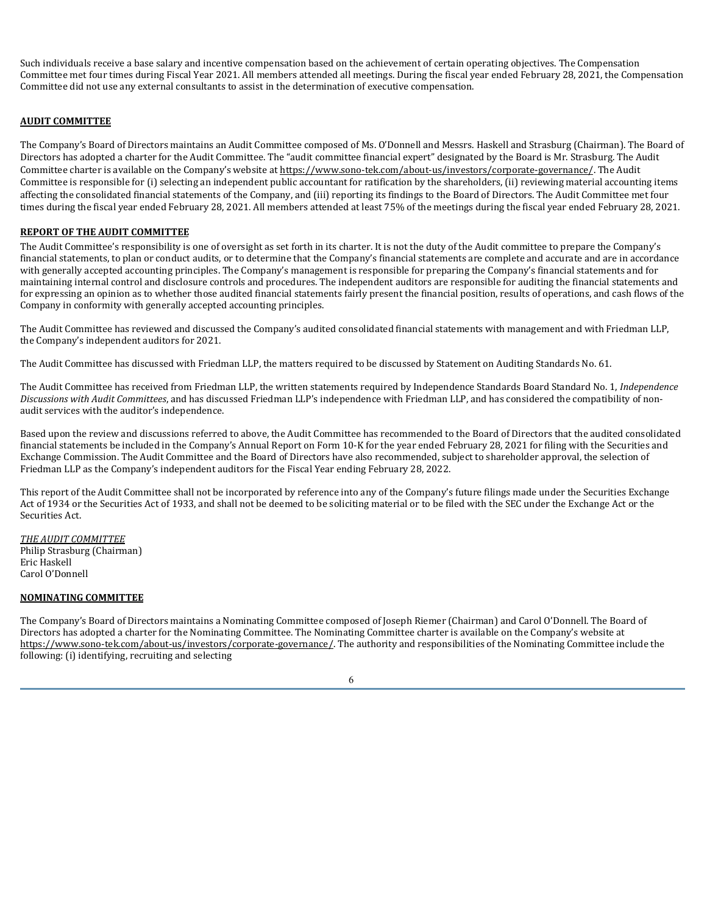Such individuals receive a base salary and incentive compensation based on the achievement of certain operating objectives. The Compensation Committee met four times during Fiscal Year 2021. All members attended all meetings. During the fiscal year ended February 28, 2021, the Compensation Committee did not use any external consultants to assist in the determination of executive compensation.

# **AUDIT COMMITTEE**

The Company's Board of Directors maintains an Audit Committee composed of Ms. O'Donnell and Messrs. Haskell and Strasburg (Chairman). The Board of Directors has adopted a charter for the Audit Committee. The "audit committee financial expert" designated by the Board is Mr. Strasburg. The Audit Committee charter is available on the Company's website at https://www.sono-tek.com/about-us/investors/corporate-governance/. The Audit Committee is responsible for (i) selecting an independent public accountant for ratification by the shareholders, (ii) reviewing material accounting items affecting the consolidated financial statements of the Company, and (iii) reporting its findings to the Board of Directors. The Audit Committee met four times during the fiscal year ended February 28, 2021. All members attended at least 75% of the meetings during the fiscal year ended February 28, 2021.

# **REPORT OF THE AUDIT COMMITTEE**

The Audit Committee's responsibility is one of oversight as set forth in its charter. It is not the duty of the Audit committee to prepare the Company's financial statements, to plan or conduct audits, or to determine that the Company's financial statements are complete and accurate and are in accordance with generally accepted accounting principles. The Company's management is responsible for preparing the Company's financial statements and for maintaining internal control and disclosure controls and procedures. The independent auditors are responsible for auditing the financial statements and for expressing an opinion as to whether those audited financial statements fairly present the financial position, results of operations, and cash flows of the Company in conformity with generally accepted accounting principles.

The Audit Committee has reviewed and discussed the Company's audited consolidated financial statements with management and with Friedman LLP, the Company's independent auditors for 2021.

The Audit Committee has discussed with Friedman LLP, the matters required to be discussed by Statement on Auditing Standards No. 61.

The Audit Committee has received from Friedman LLP, the written statements required by Independence Standards Board Standard No. 1, *Independence Discussions with Audit Committees*, and has discussed Friedman LLP's independence with Friedman LLP, and has considered the compatibility of nonaudit services with the auditor's independence.

Based upon the review and discussions referred to above, the Audit Committee has recommended to the Board of Directors that the audited consolidated financial statements be included in the Company's Annual Report on Form 10-K for the year ended February 28, 2021 for filing with the Securities and Exchange Commission. The Audit Committee and the Board of Directors have also recommended, subject to shareholder approval, the selection of Friedman LLP as the Company's independent auditors for the Fiscal Year ending February 28, 2022.

This report of the Audit Committee shall not be incorporated by reference into any of the Company's future filings made under the Securities Exchange Act of 1934 or the Securities Act of 1933, and shall not be deemed to be soliciting material or to be filed with the SEC under the Exchange Act or the Securities Act.

*THE AUDIT COMMITTEE* Philip Strasburg (Chairman) Eric Haskell Carol O'Donnell

# **NOMINATING COMMITTEE**

The Company's Board of Directors maintains a Nominating Committee composed of Joseph Riemer (Chairman) and Carol O'Donnell. The Board of Directors has adopted a charter for the Nominating Committee. The Nominating Committee charter is available on the Company's website at https://www.sono-tek.com/about-us/investors/corporate-governance/. The authority and responsibilities of the Nominating Committee include the following: (i) identifying, recruiting and selecting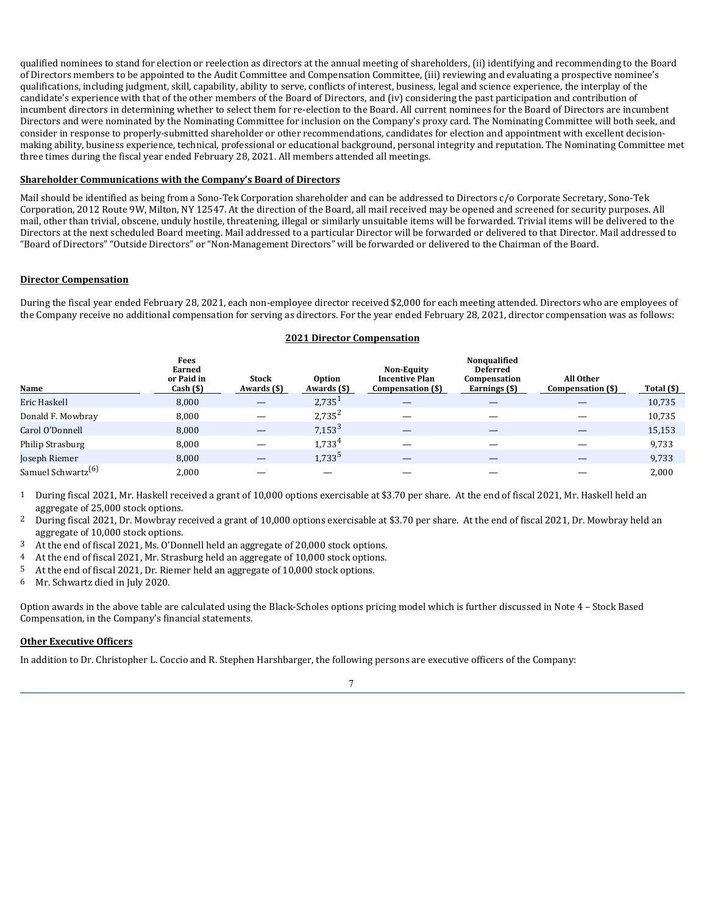qualified nominees to stand for election or reelection as directors at the annual meeting of shareholders, (ii) identifying and recommending to the Board of Directors members to be appointed to the Audit Committee and Compensation Committee, (iii) reviewing and evaluating a prospective nominee's qualifications, including judgment, skill, capability, ability to serve, conflicts of interest, business, legal and science experience, the interplay of the candidate's experience with that of the other members of the Board of Directors, and (iv) considering the past participation and contribution of incumbent directors in determining whether to select them for re-election to the Board. All current nominees for the Board of Directors are incumbent Directors and were nominated by the Nominating Committee for inclusion on the Company's proxy card. The Nominating Committee will both seek, and consider in response to properly-submitted shareholder or other recommendations, candidates for election and appointment with excellent decisionmaking ability, business experience, technical, professional or educational background, personal integrity and reputation. The Nominating Committee met three times during the fiscal year ended February 28, 2021. All members attended all meetings.

# **Shareholder Communications with the Company's Board of Directors**

Mail should be identified as being from a Sono-Tek Corporation shareholder and can be addressed to Directors c/o Corporate Secretary, Sono-Tek Corporation, 2012 Route 9W, Milton, NY 12547. At the direction of the Board, all mail received may be opened and screened for security purposes. All mail, other than trivial, obscene, unduly hostile, threatening, illegal or similarly unsuitable items will be forwarded. Trivial items will be delivered to the Directors at the next scheduled Board meeting. Mail addressed to a particular Director will be forwarded or delivered to that Director. Mail addressed to "Board of Directors" "Outside Directors" or "Non-Management Directors" will be forwarded or delivered to the Chairman of the Board.

# **Director Compensation**

During the fiscal year ended February 28, 2021, each non-employee director received \$2,000 for each meeting attended. Directors who are employees of the Company receive no additional compensation for serving as directors. For the year ended February 28, 2021, director compensation was as follows:

# **2021 Director Compensation**

| Name                           | Fees<br>Earned<br>or Paid in<br>Cash (\$) | <b>Stock</b><br>Awards (\$)     | Option<br>Awards (\$) | <b>Non-Equity</b><br><b>Incentive Plan</b><br>Compensation (\$) | Nonqualified<br><b>Deferred</b><br>Compensation<br>Earnings (\$) | All Other<br>Compensation (\$)  | Total (\$) |
|--------------------------------|-------------------------------------------|---------------------------------|-----------------------|-----------------------------------------------------------------|------------------------------------------------------------------|---------------------------------|------------|
| Eric Haskell                   | 8,000                                     | $\qquad \qquad \longleftarrow$  | 2,735                 |                                                                 |                                                                  |                                 | 10,735     |
| Donald F. Mowbray              | 8,000                                     | $\overline{\phantom{m}}$        | $2,735^{2}$           | $\overline{\phantom{m}}$                                        |                                                                  | $\hspace{0.1mm}-\hspace{0.1mm}$ | 10,735     |
| Carol O'Donnell                | 8,000                                     |                                 | $7,153^3$             |                                                                 |                                                                  | —                               | 15,153     |
| Philip Strasburg               | 8,000                                     |                                 | $1.733^{4}$           |                                                                 |                                                                  |                                 | 9,733      |
| Joseph Riemer                  | 8,000                                     | $\hspace{0.1mm}-\hspace{0.1mm}$ | 1,733 <sup>5</sup>    | $\hspace{0.1mm}-\hspace{0.1mm}$                                 | $\overline{\phantom{0}}$                                         | $\qquad \qquad -$               | 9,733      |
| Samuel Schwartz <sup>(6)</sup> | 2,000                                     |                                 | $\hspace{0.05cm}$     | $\overline{\phantom{a}}$                                        |                                                                  | $\overline{\phantom{m}}$        | 2,000      |

1 During fiscal 2021, Mr. Haskell received a grant of 10,000 options exercisable at \$3.70 per share. At the end of fiscal 2021, Mr. Haskell held an aggregate of 25,000 stock options.

2 During fiscal 2021, Dr. Mowbray received a grant of 10,000 options exercisable at \$3.70 per share. At the end of fiscal 2021, Dr. Mowbray held an aggregate of 10,000 stock options.

- 3 At the end of fiscal 2021, Ms. O'Donnell held an aggregate of 20,000 stock options.
- 4 At the end of fiscal 2021, Mr. Strasburg held an aggregate of 10,000 stock options.
- 5 At the end of fiscal 2021, Dr. Riemer held an aggregate of 10,000 stock options.
- 6 Mr. Schwartz died in July 2020.

Option awards in the above table are calculated using the Black-Scholes options pricing model which is further discussed in Note 4 – Stock Based Compensation, in the Company's financial statements.

# **Other Executive Officers**

In addition to Dr. Christopher L. Coccio and R. Stephen Harshbarger, the following persons are executive officers of the Company:

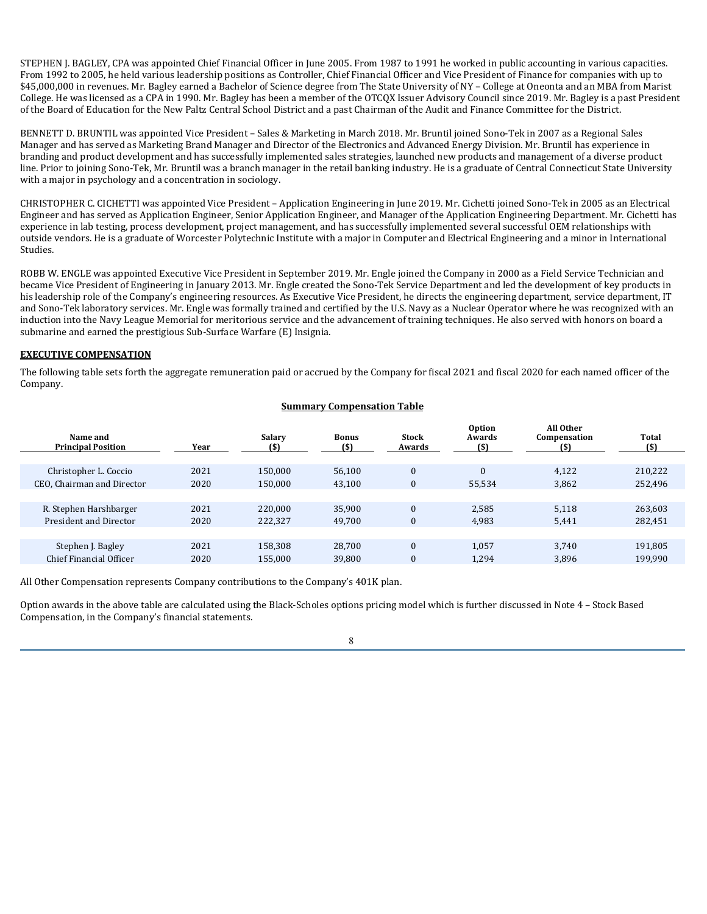STEPHEN J. BAGLEY, CPA was appointed Chief Financial Officer in June 2005. From 1987 to 1991 he worked in public accounting in various capacities. From 1992 to 2005, he held various leadership positions as Controller, Chief Financial Officer and Vice President of Finance for companies with up to \$45,000,000 in revenues. Mr. Bagley earned a Bachelor of Science degree from The State University of NY – College at Oneonta and an MBA from Marist College. He was licensed as a CPA in 1990. Mr. Bagley has been a member of the OTCQX Issuer Advisory Council since 2019. Mr. Bagley is a past President of the Board of Education for the New Paltz Central School District and a past Chairman of the Audit and Finance Committee for the District.

BENNETT D. BRUNTIL was appointed Vice President – Sales & Marketing in March 2018. Mr. Bruntil joined Sono-Tek in 2007 as a Regional Sales Manager and has served as Marketing Brand Manager and Director of the Electronics and Advanced Energy Division. Mr. Bruntil has experience in branding and product development and has successfully implemented sales strategies, launched new products and management of a diverse product line. Prior to joining Sono-Tek, Mr. Bruntil was a branch manager in the retail banking industry. He is a graduate of Central Connecticut State University with a major in psychology and a concentration in sociology.

CHRISTOPHER C. CICHETTI was appointed Vice President – Application Engineering in June 2019. Mr. Cichetti joined Sono-Tek in 2005 as an Electrical Engineer and has served as Application Engineer, Senior Application Engineer, and Manager of the Application Engineering Department. Mr. Cichetti has experience in lab testing, process development, project management, and has successfully implemented several successful OEM relationships with outside vendors. He is a graduate of Worcester Polytechnic Institute with a major in Computer and Electrical Engineering and a minor in International Studies.

ROBB W. ENGLE was appointed Executive Vice President in September 2019. Mr. Engle joined the Company in 2000 as a Field Service Technician and became Vice President of Engineering in January 2013. Mr. Engle created the Sono-Tek Service Department and led the development of key products in his leadership role of the Company's engineering resources. As Executive Vice President, he directs the engineering department, service department, IT and Sono-Tek laboratory services. Mr. Engle was formally trained and certified by the U.S. Navy as a Nuclear Operator where he was recognized with an induction into the Navy League Memorial for meritorious service and the advancement of training techniques. He also served with honors on board a submarine and earned the prestigious Sub-Surface Warfare (E) Insignia.

### **EXECUTIVE COMPENSATION**

The following table sets forth the aggregate remuneration paid or accrued by the Company for fiscal 2021 and fiscal 2020 for each named officer of the Company.

# **Summary Compensation Table**

| Name and<br><b>Principal Position</b> | Year | <b>Salary</b><br>(5) | <b>Bonus</b><br>(\$) | <b>Stock</b><br>Awards | Option<br>Awards | All Other<br>Compensation<br>(S) | Total<br>$($ \$) |
|---------------------------------------|------|----------------------|----------------------|------------------------|------------------|----------------------------------|------------------|
| Christopher L. Coccio                 | 2021 | 150,000              | 56,100               | $\Omega$               |                  | 4,122                            | 210,222          |
| CEO, Chairman and Director            | 2020 | 150,000              | 43,100               | $\mathbf{0}$           | 55,534           | 3,862                            | 252,496          |
|                                       |      |                      |                      |                        |                  |                                  |                  |
| R. Stephen Harshbarger                | 2021 | 220,000              | 35,900               | $\Omega$               | 2,585            | 5,118                            | 263,603          |
| President and Director                | 2020 | 222,327              | 49,700               | $\Omega$               | 4,983            | 5,441                            | 282,451          |
|                                       |      |                      |                      |                        |                  |                                  |                  |
| Stephen J. Bagley                     | 2021 | 158,308              | 28,700               |                        | 1,057            | 3,740                            | 191,805          |
| Chief Financial Officer               | 2020 | 155,000              | 39,800               |                        | 1,294            | 3,896                            | 199,990          |

All Other Compensation represents Company contributions to the Company's 401K plan.

Option awards in the above table are calculated using the Black-Scholes options pricing model which is further discussed in Note 4 – Stock Based Compensation, in the Company's financial statements.

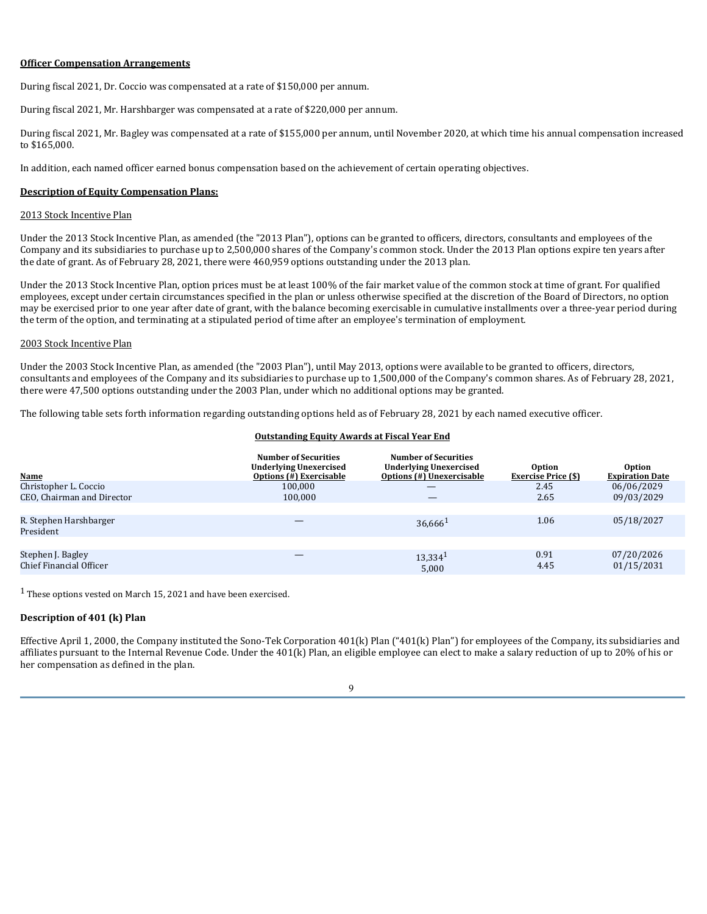#### **Officer Compensation Arrangements**

During fiscal 2021, Dr. Coccio was compensated at a rate of \$150,000 per annum.

During fiscal 2021, Mr. Harshbarger was compensated at a rate of \$220,000 per annum.

During fiscal 2021, Mr. Bagley was compensated at a rate of \$155,000 per annum, until November 2020, at which time his annual compensation increased to \$165,000.

In addition, each named officer earned bonus compensation based on the achievement of certain operating objectives.

### **Description of Equity Compensation Plans:**

### 2013 Stock Incentive Plan

Under the 2013 Stock Incentive Plan, as amended (the "2013 Plan"), options can be granted to officers, directors, consultants and employees of the Company and its subsidiaries to purchase up to 2,500,000 shares of the Company's common stock. Under the 2013 Plan options expire ten years after the date of grant. As of February 28, 2021, there were 460,959 options outstanding under the 2013 plan.

Under the 2013 Stock Incentive Plan, option prices must be at least 100% of the fair market value of the common stock at time of grant. For qualified employees, except under certain circumstances specified in the plan or unless otherwise specified at the discretion of the Board of Directors, no option may be exercised prior to one year after date of grant, with the balance becoming exercisable in cumulative installments over a three-year period during the term of the option, and terminating at a stipulated period of time after an employee's termination of employment.

#### 2003 Stock Incentive Plan

Under the 2003 Stock Incentive Plan, as amended (the "2003 Plan"), until May 2013, options were available to be granted to officers, directors, consultants and employees of the Company and its subsidiaries to purchase up to 1,500,000 of the Company's common shares. As of February 28, 2021, there were 47,500 options outstanding under the 2003 Plan, under which no additional options may be granted.

The following table sets forth information regarding outstanding options held as of February 28, 2021 by each named executive officer.

# **Outstanding Equity Awards at Fiscal Year End**

| <b>Name</b><br>Christopher L. Coccio         | <b>Number of Securities</b><br><b>Underlying Unexercised</b><br>Options (#) Exercisable<br>100,000 | <b>Number of Securities</b><br><b>Underlying Unexercised</b><br><b>Options</b> (#) Unexercisable<br>$\hspace{0.05cm}$ | Option<br><b>Exercise Price (\$)</b><br>2.45 | <b>Option</b><br><b>Expiration Date</b><br>06/06/2029 |
|----------------------------------------------|----------------------------------------------------------------------------------------------------|-----------------------------------------------------------------------------------------------------------------------|----------------------------------------------|-------------------------------------------------------|
| CEO, Chairman and Director                   | 100,000                                                                                            |                                                                                                                       | 2.65                                         | 09/03/2029                                            |
| R. Stephen Harshbarger<br>President          |                                                                                                    | $36,666$ <sup>1</sup>                                                                                                 | 1.06                                         | 05/18/2027                                            |
| Stephen J. Bagley<br>Chief Financial Officer |                                                                                                    | $13,334$ <sup>1</sup><br>5,000                                                                                        | 0.91<br>4.45                                 | 07/20/2026<br>01/15/2031                              |

 $1$  These options vested on March 15, 2021 and have been exercised.

### **Description of 401 (k) Plan**

Effective April 1, 2000, the Company instituted the Sono-Tek Corporation 401(k) Plan ("401(k) Plan") for employees of the Company, its subsidiaries and affiliates pursuant to the Internal Revenue Code. Under the 401(k) Plan, an eligible employee can elect to make a salary reduction of up to 20% of his or her compensation as defined in the plan.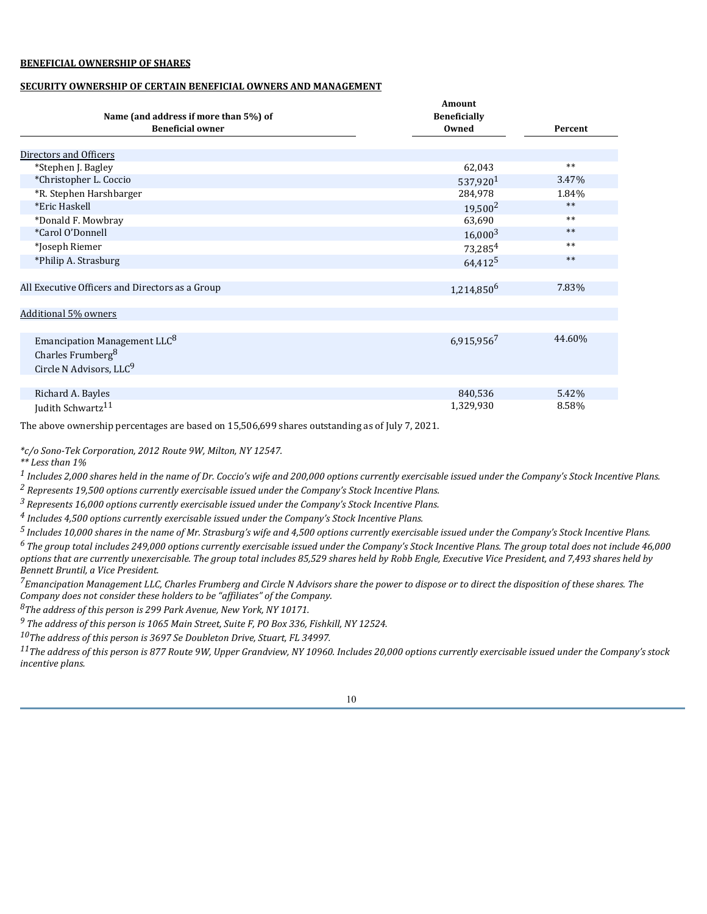# **BENEFICIAL OWNERSHIP OF SHARES**

# **SECURITY OWNERSHIP OF CERTAIN BENEFICIAL OWNERS AND MANAGEMENT**

|                                                 | Amount                 |         |
|-------------------------------------------------|------------------------|---------|
| Name (and address if more than 5%) of           | <b>Beneficially</b>    |         |
| <b>Beneficial owner</b>                         | Owned                  | Percent |
|                                                 |                        |         |
| Directors and Officers                          |                        |         |
| *Stephen J. Bagley                              | 62,043                 | $**$    |
| *Christopher L. Coccio                          | 537,920 <sup>1</sup>   | 3.47%   |
| *R. Stephen Harshbarger                         | 284,978                | 1.84%   |
| *Eric Haskell                                   | $19,500^2$             | $***$   |
| *Donald F. Mowbray                              | 63,690                 | $**$    |
| *Carol O'Donnell                                | $16,000^3$             | **      |
| *Joseph Riemer                                  | 73,285 <sup>4</sup>    | $***$   |
| *Philip A. Strasburg                            | $64,412^5$             | $***$   |
|                                                 |                        |         |
| All Executive Officers and Directors as a Group | 1,214,850 <sup>6</sup> | 7.83%   |
|                                                 |                        |         |
| <b>Additional 5% owners</b>                     |                        |         |
|                                                 |                        |         |
| Emancipation Management LLC <sup>8</sup>        | 6,915,9567             | 44.60%  |
| Charles Frumberg <sup>8</sup>                   |                        |         |
| Circle N Advisors, LLC <sup>9</sup>             |                        |         |
|                                                 |                        |         |
| Richard A. Bayles                               | 840,536                | 5.42%   |
| Judith Schwartz <sup>11</sup>                   | 1,329,930              | 8.58%   |

The above ownership percentages are based on 15,506,699 shares outstanding as of July 7, 2021.

*\*c/o Sono-Tek Corporation, 2012 Route 9W, Milton, NY 12547.*

*\*\* Less than 1%*

*1 Includes 2,000 shares held in the name of Dr. Coccio's wife and 200,000 options currently exercisable issued under the Company's Stock Incentive Plans.*

*2 Represents 19,500 options currently exercisable issued under the Company's Stock Incentive Plans.*

*<sup>3</sup>Represents 16,000 options currently exercisable issued under the Company's Stock Incentive Plans.*

*4 Includes 4,500 options currently exercisable issued under the Company's Stock Incentive Plans.*

*<sup>5</sup>Includes 10,000 shares in the name of Mr. Strasburg's wife and 4,500 options currently exercisable issued under the Company's Stock Incentive Plans.*

*<sup>6</sup>The group total includes 249,000 options currently exercisable issued under the Company's Stock Incentive Plans. The group total does not include 46,000 options that are currently unexercisable. The group total includes 85,529 shares held by Robb Engle, Executive Vice President, and 7,493 shares held by Bennett Bruntil, a Vice President.*

*<sup>7</sup>Emancipation Management LLC, Charles Frumberg and Circle N Advisors share the power to dispose or to direct the disposition of these shares. The Company does not consider these holders to be "affiliates" of the Company.*

*<sup>8</sup>The address of this person is 299 Park Avenue, New York, NY 10171.*

*<sup>9</sup>The address of this person is 1065 Main Street, Suite F, PO Box 336, Fishkill, NY 12524.*

*<sup>10</sup>The address of this person is 3697 Se Doubleton Drive, Stuart, FL 34997.*

*<sup>11</sup>The address of this person is 877 Route 9W, Upper Grandview, NY 10960. Includes 20,000 options currently exercisable issued under the Company's stock incentive plans.*

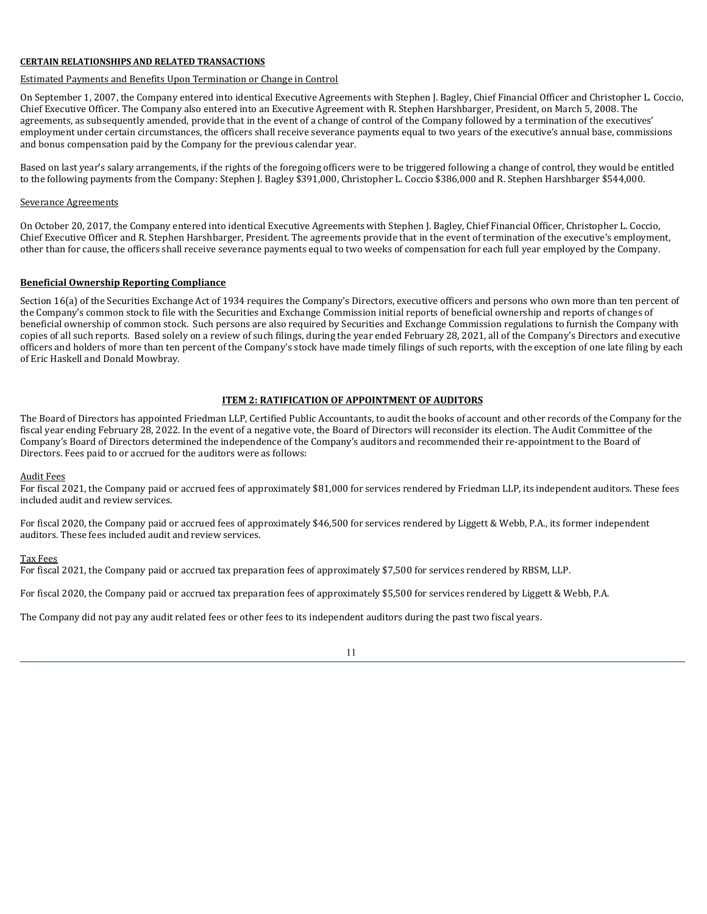### **CERTAIN RELATIONSHIPS AND RELATED TRANSACTIONS**

# Estimated Payments and Benefits Upon Termination or Change in Control

On September 1, 2007, the Company entered into identical Executive Agreements with Stephen J. Bagley, Chief Financial Officer and Christopher L. Coccio, Chief Executive Officer. The Company also entered into an Executive Agreement with R. Stephen Harshbarger, President, on March 5, 2008. The agreements, as subsequently amended, provide that in the event of a change of control of the Company followed by a termination of the executives' employment under certain circumstances, the officers shall receive severance payments equal to two years of the executive's annual base, commissions and bonus compensation paid by the Company for the previous calendar year.

Based on last year's salary arrangements, if the rights of the foregoing officers were to be triggered following a change of control, they would be entitled to the following payments from the Company: Stephen J. Bagley \$391,000, Christopher L. Coccio \$386,000 and R. Stephen Harshbarger \$544,000.

### Severance Agreements

On October 20, 2017, the Company entered into identical Executive Agreements with Stephen J. Bagley, Chief Financial Officer, Christopher L. Coccio, Chief Executive Officer and R. Stephen Harshbarger, President. The agreements provide that in the event of termination of the executive's employment, other than for cause, the officers shall receive severance payments equal to two weeks of compensation for each full year employed by the Company.

### **Beneficial Ownership Reporting Compliance**

Section 16(a) of the Securities Exchange Act of 1934 requires the Company's Directors, executive officers and persons who own more than ten percent of the Company's common stock to file with the Securities and Exchange Commission initial reports of beneficial ownership and reports of changes of beneficial ownership of common stock. Such persons are also required by Securities and Exchange Commission regulations to furnish the Company with copies of all such reports. Based solely on a review of such filings, during the year ended February 28, 2021, all of the Company's Directors and executive officers and holders of more than ten percent of the Company's stock have made timely filings of such reports, with the exception of one late filing by each of Eric Haskell and Donald Mowbray.

# **ITEM 2: RATIFICATION OF APPOINTMENT OF AUDITORS**

The Board of Directors has appointed Friedman LLP, Certified Public Accountants, to audit the books of account and other records of the Company for the fiscal year ending February 28, 2022. In the event of a negative vote, the Board of Directors will reconsider its election. The Audit Committee of the Company's Board of Directors determined the independence of the Company's auditors and recommended their re-appointment to the Board of Directors. Fees paid to or accrued for the auditors were as follows:

#### Audit Fees

For fiscal 2021, the Company paid or accrued fees of approximately \$81,000 for services rendered by Friedman LLP, its independent auditors. These fees included audit and review services.

For fiscal 2020, the Company paid or accrued fees of approximately \$46,500 for services rendered by Liggett & Webb, P.A., its former independent auditors. These fees included audit and review services.

#### Tax Fees

For fiscal 2021, the Company paid or accrued tax preparation fees of approximately \$7,500 for services rendered by RBSM, LLP.

For fiscal 2020, the Company paid or accrued tax preparation fees of approximately \$5,500 for services rendered by Liggett & Webb, P.A.

The Company did not pay any audit related fees or other fees to its independent auditors during the past two fiscal years.

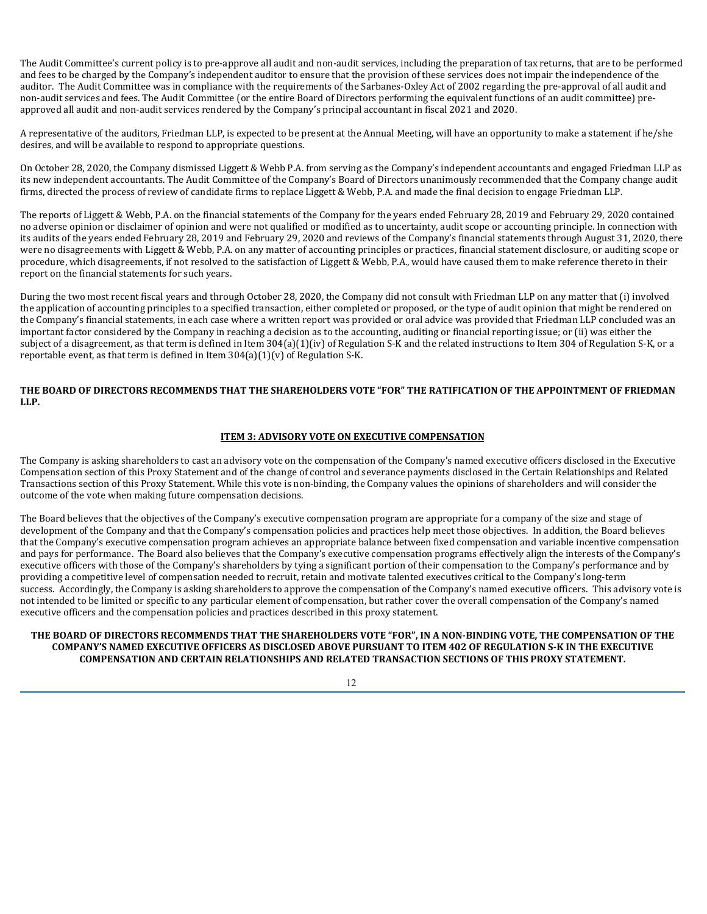The Audit Committee's current policy is to pre-approve all audit and non-audit services, including the preparation of tax returns, that are to be performed and fees to be charged by the Company's independent auditor to ensure that the provision of these services does not impair the independence of the auditor. The Audit Committee was in compliance with the requirements of the Sarbanes-Oxley Act of 2002 regarding the pre-approval of all audit and non-audit services and fees. The Audit Committee (or the entire Board of Directors performing the equivalent functions of an audit committee) preapproved all audit and non-audit services rendered by the Company's principal accountant in fiscal 2021 and 2020.

A representative of the auditors, Friedman LLP, is expected to be present at the Annual Meeting, will have an opportunity to make a statement if he/she desires, and will be available to respond to appropriate questions.

On October 28, 2020, the Company dismissed Liggett & Webb P.A. from serving as the Company's independent accountants and engaged Friedman LLP as its new independent accountants. The Audit Committee of the Company's Board of Directors unanimously recommended that the Company change audit firms, directed the process of review of candidate firms to replace Liggett & Webb, P.A. and made the final decision to engage Friedman LLP.

The reports of Liggett & Webb, P.A. on the financial statements of the Company for the years ended February 28, 2019 and February 29, 2020 contained no adverse opinion or disclaimer of opinion and were not qualified or modified as to uncertainty, audit scope or accounting principle. In connection with its audits of the years ended February 28, 2019 and February 29, 2020 and reviews of the Company's financial statements through August 31, 2020, there were no disagreements with Liggett & Webb, P.A. on any matter of accounting principles or practices, financial statement disclosure, or auditing scope or procedure, which disagreements, if not resolved to the satisfaction of Liggett & Webb, P.A., would have caused them to make reference thereto in their report on the financial statements for such years.

During the two most recent fiscal years and through October 28, 2020, the Company did not consult with Friedman LLP on any matter that (i) involved the application of accounting principles to a specified transaction, either completed or proposed, or the type of audit opinion that might be rendered on the Company's financial statements, in each case where a written report was provided or oral advice was provided that Friedman LLP concluded was an important factor considered by the Company in reaching a decision as to the accounting, auditing or financial reporting issue; or (ii) was either the subject of a disagreement, as that term is defined in Item 304(a)(1)(iv) of Regulation S-K and the related instructions to Item 304 of Regulation S-K, or a reportable event, as that term is defined in Item  $304(a)(1)(v)$  of Regulation S-K.

# **THE BOARD OF DIRECTORS RECOMMENDS THAT THE SHAREHOLDERS VOTE "FOR" THE RATIFICATION OF THE APPOINTMENT OF FRIEDMAN LLP.**

# **ITEM 3: ADVISORY VOTE ON EXECUTIVE COMPENSATION**

The Company is asking shareholders to cast an advisory vote on the compensation of the Company's named executive officers disclosed in the Executive Compensation section of this Proxy Statement and of the change of control and severance payments disclosed in the Certain Relationships and Related Transactions section of this Proxy Statement. While this vote is non-binding, the Company values the opinions of shareholders and will consider the outcome of the vote when making future compensation decisions.

The Board believes that the objectives of the Company's executive compensation program are appropriate for a company of the size and stage of development of the Company and that the Company's compensation policies and practices help meet those objectives. In addition, the Board believes that the Company's executive compensation program achieves an appropriate balance between fixed compensation and variable incentive compensation and pays for performance. The Board also believes that the Company's executive compensation programs effectively align the interests of the Company's executive officers with those of the Company's shareholders by tying a significant portion of their compensation to the Company's performance and by providing a competitive level of compensation needed to recruit, retain and motivate talented executives critical to the Company's long-term success. Accordingly, the Company is asking shareholders to approve the compensation of the Company's named executive officers. This advisory vote is not intended to be limited or specific to any particular element of compensation, but rather cover the overall compensation of the Company's named executive officers and the compensation policies and practices described in this proxy statement.

# **THE BOARD OF DIRECTORS RECOMMENDS THAT THE SHAREHOLDERS VOTE "FOR", IN A NON-BINDING VOTE, THE COMPENSATION OF THE COMPANY'S NAMED EXECUTIVE OFFICERS AS DISCLOSED ABOVE PURSUANT TO ITEM 402 OF REGULATION S-K IN THE EXECUTIVE COMPENSATION AND CERTAIN RELATIONSHIPS AND RELATED TRANSACTION SECTIONS OF THIS PROXY STATEMENT.**

12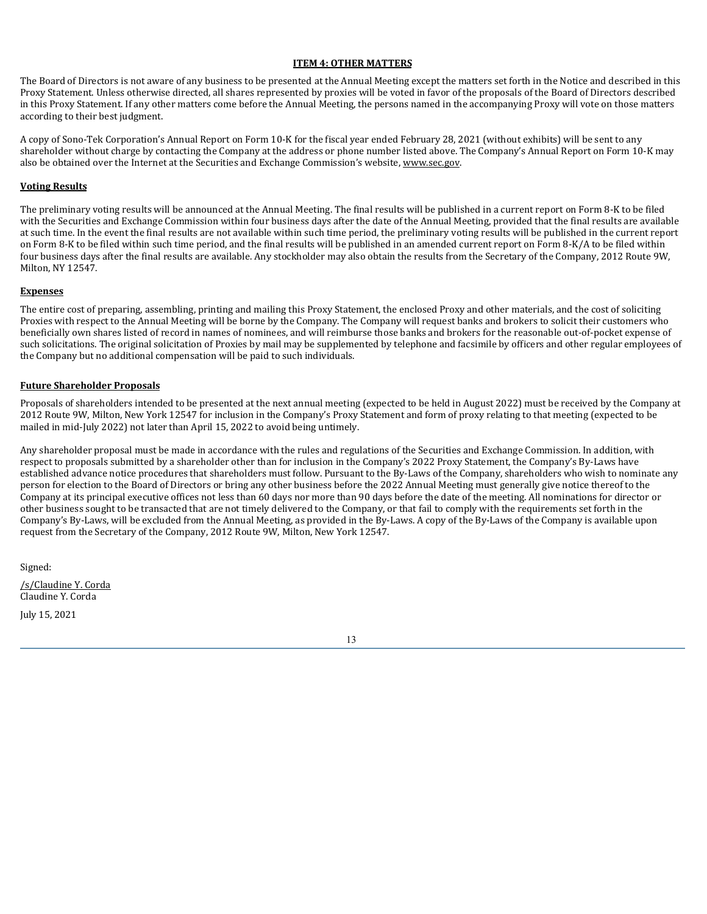# **ITEM 4: OTHER MATTERS**

The Board of Directors is not aware of any business to be presented at the Annual Meeting except the matters set forth in the Notice and described in this Proxy Statement. Unless otherwise directed, all shares represented by proxies will be voted in favor of the proposals of the Board of Directors described in this Proxy Statement. If any other matters come before the Annual Meeting, the persons named in the accompanying Proxy will vote on those matters according to their best judgment.

A copy of Sono-Tek Corporation's Annual Report on Form 10-K for the fiscal year ended February 28, 2021 (without exhibits) will be sent to any shareholder without charge by contacting the Company at the address or phone number listed above. The Company's Annual Report on Form 10-K may also be obtained over the Internet at the Securities and Exchange Commission's website, www.sec.gov.

# **Voting Results**

The preliminary voting results will be announced at the Annual Meeting. The final results will be published in a current report on Form 8-K to be filed with the Securities and Exchange Commission within four business days after the date of the Annual Meeting, provided that the final results are available at such time. In the event the final results are not available within such time period, the preliminary voting results will be published in the current report on Form 8-K to be filed within such time period, and the final results will be published in an amended current report on Form 8-K/A to be filed within four business days after the final results are available. Any stockholder may also obtain the results from the Secretary of the Company, 2012 Route 9W, Milton, NY 12547.

### **Expenses**

The entire cost of preparing, assembling, printing and mailing this Proxy Statement, the enclosed Proxy and other materials, and the cost of soliciting Proxies with respect to the Annual Meeting will be borne by the Company. The Company will request banks and brokers to solicit their customers who beneficially own shares listed of record in names of nominees, and will reimburse those banks and brokers for the reasonable out-of-pocket expense of such solicitations. The original solicitation of Proxies by mail may be supplemented by telephone and facsimile by officers and other regular employees of the Company but no additional compensation will be paid to such individuals.

# **Future Shareholder Proposals**

Proposals of shareholders intended to be presented at the next annual meeting (expected to be held in August 2022) must be received by the Company at 2012 Route 9W, Milton, New York 12547 for inclusion in the Company's Proxy Statement and form of proxy relating to that meeting (expected to be mailed in mid-July 2022) not later than April 15, 2022 to avoid being untimely.

Any shareholder proposal must be made in accordance with the rules and regulations of the Securities and Exchange Commission. In addition, with respect to proposals submitted by a shareholder other than for inclusion in the Company's 2022 Proxy Statement, the Company's By-Laws have established advance notice procedures that shareholders must follow. Pursuant to the By-Laws of the Company, shareholders who wish to nominate any person for election to the Board of Directors or bring any other business before the 2022 Annual Meeting must generally give notice thereof to the Company at its principal executive offices not less than 60 days nor more than 90 days before the date of the meeting. All nominations for director or other business sought to be transacted that are not timely delivered to the Company, or that fail to comply with the requirements set forth in the Company's By-Laws, will be excluded from the Annual Meeting, as provided in the By-Laws. A copy of the By-Laws of the Company is available upon request from the Secretary of the Company, 2012 Route 9W, Milton, New York 12547.

Signed:

/s/Claudine Y. Corda Claudine Y. Corda

July 15, 2021

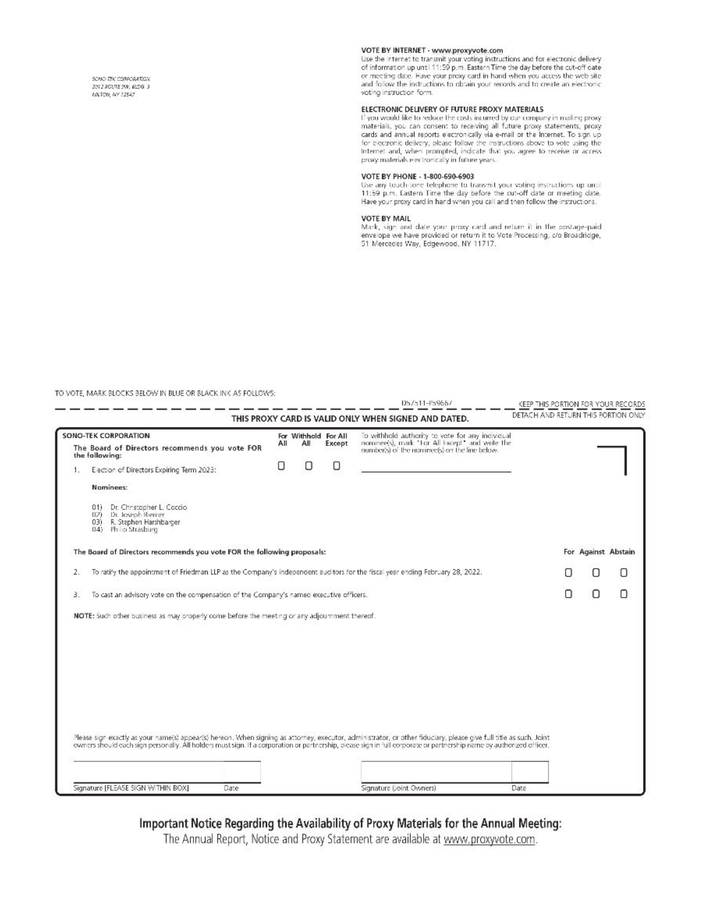SONO-TEK CORRORATION 2012/2010/31:00:01:05 2 **INTON, NY 12547** 

# VOTE BY INTERNET - www.proxyvote.com

Use the internet to transmit your voting instructions and for electronic delivery<br>of information up until 11:59 p.m. Eastern Time the day before the cut-off cate or meeting date. Have your proxy card in hand when you access the web site and follow the instructions to obtain your records and to create an electronic voting instruction form.

#### ELECTRONIC DELIVERY OF FUTURE PROXY MATERIALS

Electromate because the costs incurred by our company in mailing proxy<br>If you would like to reduce the costs incurred by our company in mailing proxy<br>materials, you can consent to receiving all future proxy statements, pro proxy materials electronically in future years.

#### VOTE BY PHONE - 1-800-690-6903

Use any touch-tone telephone to transmit your voting instructions up until 11:59 p.m. Eastern Time the day before the cut-off date or meeting date. Have your proxy card in hand when you call and then follow the instructions.

#### VOTE BY MAIL

Vark, sign and date your proxy card and return it in the postage-paid<br>envelope we have provided or return it to Vote Processing, c/o Broadridge, 51 Mercedes Way, Edgewood, NY 11717.

#### TO VOTE, MARK BLOCKS BELOW IN BLUE OR BLACK INK AS FOLLOWS:

|                                                                                                                                     |                                                                                                                                                                                                                                                                                                                                            |     |                             |        | D57511-P59667                                                                                     | KEEP THIS PORTION FOR YOUR RECORDS  |  |   |                     |
|-------------------------------------------------------------------------------------------------------------------------------------|--------------------------------------------------------------------------------------------------------------------------------------------------------------------------------------------------------------------------------------------------------------------------------------------------------------------------------------------|-----|-----------------------------|--------|---------------------------------------------------------------------------------------------------|-------------------------------------|--|---|---------------------|
|                                                                                                                                     |                                                                                                                                                                                                                                                                                                                                            |     |                             |        | THIS PROXY CARD IS VALID ONLY WHEN SIGNED AND DATED.                                              | DETACH AND RETURN THIS PORTION ONLY |  |   |                     |
| SONO-TEK CORPORATION                                                                                                                |                                                                                                                                                                                                                                                                                                                                            |     | For Withhold For All<br>All |        | To withhold authority to vote for any individual                                                  |                                     |  |   |                     |
| The Board of Directors recommends you vote FOR<br>the following:                                                                    |                                                                                                                                                                                                                                                                                                                                            | Αll |                             | Except | nominee(s), mark "For All Except" and write the<br>number(s) of the nominee(s) on the line below. |                                     |  |   |                     |
| 1                                                                                                                                   | Election of Directors Expiring Term 2023:                                                                                                                                                                                                                                                                                                  | O   | 0                           | O      |                                                                                                   |                                     |  |   |                     |
|                                                                                                                                     | Naminees:                                                                                                                                                                                                                                                                                                                                  |     |                             |        |                                                                                                   |                                     |  |   |                     |
|                                                                                                                                     | Dr. Christopher L. Coccio<br>011<br>Dr. Joseph Riemer<br>021<br>R. Stephen Harshbarger<br>03)<br>04) Philip Strasburg                                                                                                                                                                                                                      |     |                             |        |                                                                                                   |                                     |  |   |                     |
|                                                                                                                                     | The Board of Directors recommends you vote FOR the following proposals:                                                                                                                                                                                                                                                                    |     |                             |        |                                                                                                   |                                     |  |   | For Against Abstain |
| To ratify the appointment of Friedman LLP as the Company's independent auditors for the fiscal year ending February 28, 2022.<br>2. |                                                                                                                                                                                                                                                                                                                                            |     |                             |        |                                                                                                   |                                     |  | O | O                   |
| To cast an advisory vote on the compensation of the Company's named executive officers.<br>3.                                       |                                                                                                                                                                                                                                                                                                                                            |     |                             |        |                                                                                                   |                                     |  |   | п                   |
|                                                                                                                                     | NOTE: Such other business as may properly come before the meeting or any adjournment thereof.                                                                                                                                                                                                                                              |     |                             |        |                                                                                                   |                                     |  |   |                     |
|                                                                                                                                     |                                                                                                                                                                                                                                                                                                                                            |     |                             |        |                                                                                                   |                                     |  |   |                     |
|                                                                                                                                     |                                                                                                                                                                                                                                                                                                                                            |     |                             |        |                                                                                                   |                                     |  |   |                     |
|                                                                                                                                     |                                                                                                                                                                                                                                                                                                                                            |     |                             |        |                                                                                                   |                                     |  |   |                     |
|                                                                                                                                     |                                                                                                                                                                                                                                                                                                                                            |     |                             |        |                                                                                                   |                                     |  |   |                     |
|                                                                                                                                     |                                                                                                                                                                                                                                                                                                                                            |     |                             |        |                                                                                                   |                                     |  |   |                     |
|                                                                                                                                     |                                                                                                                                                                                                                                                                                                                                            |     |                             |        |                                                                                                   |                                     |  |   |                     |
|                                                                                                                                     | Please sign exactly as your name(s) appear(s) hereon. When signing as attorney, executor, administrator, or other fiduciary, please give full title as such. Joint<br>owners should each sign personally. All holders must sign. If a corporation or partnership, please sign in full corporate or partnership name by authorized officer. |     |                             |        |                                                                                                   |                                     |  |   |                     |
|                                                                                                                                     |                                                                                                                                                                                                                                                                                                                                            |     |                             |        |                                                                                                   |                                     |  |   |                     |
|                                                                                                                                     | Signature [FLEASE SIGN WITHIN BOX]<br>Date                                                                                                                                                                                                                                                                                                 |     |                             |        | Signature (Joint Owners)                                                                          | Date                                |  |   |                     |

Important Notice Regarding the Availability of Proxy Materials for the Annual Meeting:

The Annual Report, Notice and Proxy Statement are available at www.proxyvote.com.